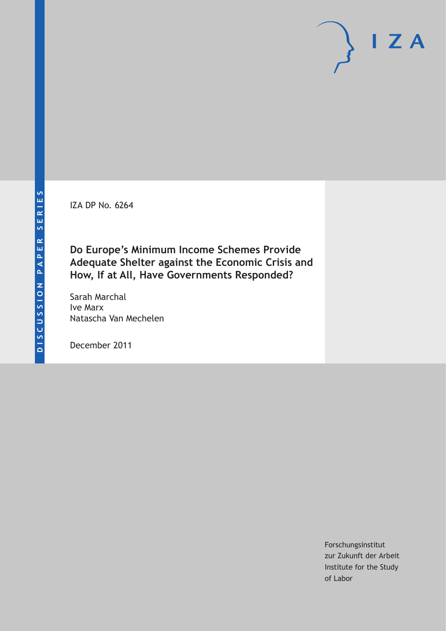IZA DP No. 6264

**Do Europe's Minimum Income Schemes Provide Adequate Shelter against the Economic Crisis and How, If at All, Have Governments Responded?**

Sarah Marchal Ive Marx Natascha Van Mechelen

December 2011

Forschungsinstitut zur Zukunft der Arbeit Institute for the Study of Labor

 $I Z A$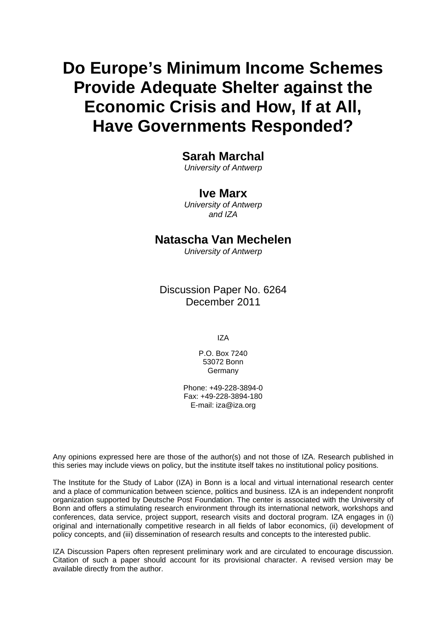# **Do Europe's Minimum Income Schemes Provide Adequate Shelter against the Economic Crisis and How, If at All, Have Governments Responded?**

# **Sarah Marchal**

*University of Antwerp* 

# **Ive Marx**

*University of Antwerp and IZA* 

## **Natascha Van Mechelen**

*University of Antwerp* 

Discussion Paper No. 6264 December 2011

IZA

P.O. Box 7240 53072 Bonn Germany

Phone: +49-228-3894-0 Fax: +49-228-3894-180 E-mail: [iza@iza.org](mailto:iza@iza.org)

Any opinions expressed here are those of the author(s) and not those of IZA. Research published in this series may include views on policy, but the institute itself takes no institutional policy positions.

The Institute for the Study of Labor (IZA) in Bonn is a local and virtual international research center and a place of communication between science, politics and business. IZA is an independent nonprofit organization supported by Deutsche Post Foundation. The center is associated with the University of Bonn and offers a stimulating research environment through its international network, workshops and conferences, data service, project support, research visits and doctoral program. IZA engages in (i) original and internationally competitive research in all fields of labor economics, (ii) development of policy concepts, and (iii) dissemination of research results and concepts to the interested public.

IZA Discussion Papers often represent preliminary work and are circulated to encourage discussion. Citation of such a paper should account for its provisional character. A revised version may be available directly from the author.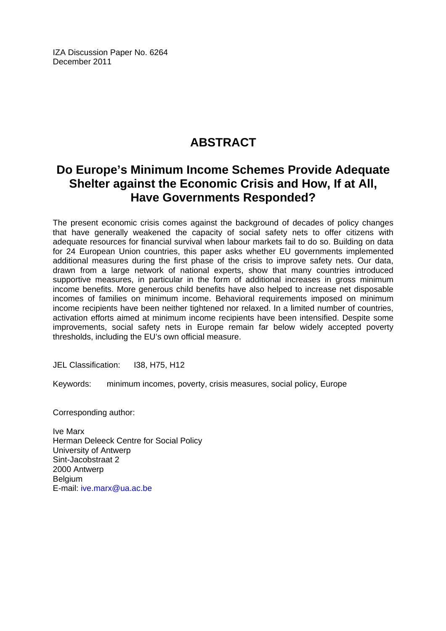IZA Discussion Paper No. 6264 December 2011

# **ABSTRACT**

# **Do Europe's Minimum Income Schemes Provide Adequate Shelter against the Economic Crisis and How, If at All, Have Governments Responded?**

The present economic crisis comes against the background of decades of policy changes that have generally weakened the capacity of social safety nets to offer citizens with adequate resources for financial survival when labour markets fail to do so. Building on data for 24 European Union countries, this paper asks whether EU governments implemented additional measures during the first phase of the crisis to improve safety nets. Our data, drawn from a large network of national experts, show that many countries introduced supportive measures, in particular in the form of additional increases in gross minimum income benefits. More generous child benefits have also helped to increase net disposable incomes of families on minimum income. Behavioral requirements imposed on minimum income recipients have been neither tightened nor relaxed. In a limited number of countries, activation efforts aimed at minimum income recipients have been intensified. Despite some improvements, social safety nets in Europe remain far below widely accepted poverty thresholds, including the EU's own official measure.

JEL Classification: I38, H75, H12

Keywords: minimum incomes, poverty, crisis measures, social policy, Europe

Corresponding author:

Ive Marx Herman Deleeck Centre for Social Policy University of Antwerp Sint-Jacobstraat 2 2000 Antwerp **Belgium** E-mail: [ive.marx@ua.ac.be](mailto:ive.marx@ua.ac.be)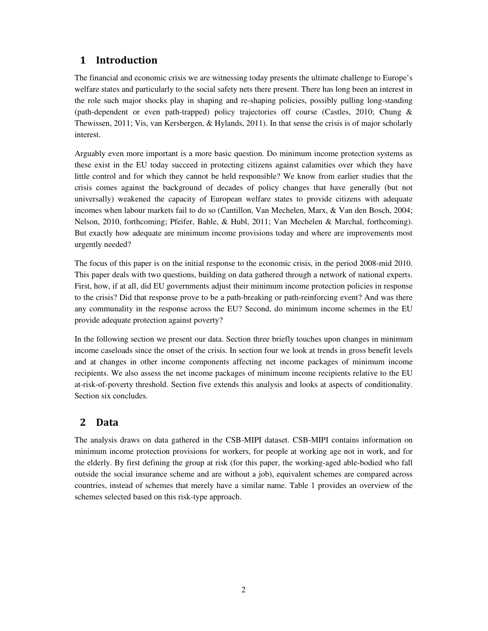## 1 Introduction

The financial and economic crisis we are witnessing today presents the ultimate challenge to Europe's welfare states and particularly to the social safety nets there present. There has long been an interest in the role such major shocks play in shaping and re-shaping policies, possibly pulling long-standing (path-dependent or even path-trapped) policy trajectories off course (Castles, 2010; Chung & Thewissen, 2011; Vis, van Kersbergen, & Hylands, 2011). In that sense the crisis is of major scholarly interest.

Arguably even more important is a more basic question. Do minimum income protection systems as these exist in the EU today succeed in protecting citizens against calamities over which they have little control and for which they cannot be held responsible? We know from earlier studies that the crisis comes against the background of decades of policy changes that have generally (but not universally) weakened the capacity of European welfare states to provide citizens with adequate incomes when labour markets fail to do so (Cantillon, Van Mechelen, Marx, & Van den Bosch, 2004; Nelson, 2010, forthcoming; Pfeifer, Bahle, & Hubl, 2011; Van Mechelen & Marchal, forthcoming). But exactly how adequate are minimum income provisions today and where are improvements most urgently needed?

The focus of this paper is on the initial response to the economic crisis, in the period 2008-mid 2010. This paper deals with two questions, building on data gathered through a network of national experts. First, how, if at all, did EU governments adjust their minimum income protection policies in response to the crisis? Did that response prove to be a path-breaking or path-reinforcing event? And was there any communality in the response across the EU? Second, do minimum income schemes in the EU provide adequate protection against poverty?

In the following section we present our data. Section three briefly touches upon changes in minimum income caseloads since the onset of the crisis. In section four we look at trends in gross benefit levels and at changes in other income components affecting net income packages of minimum income recipients. We also assess the net income packages of minimum income recipients relative to the EU at-risk-of-poverty threshold. Section five extends this analysis and looks at aspects of conditionality. Section six concludes.

### 2 Data

The analysis draws on data gathered in the CSB-MIPI dataset. CSB-MIPI contains information on minimum income protection provisions for workers, for people at working age not in work, and for the elderly. By first defining the group at risk (for this paper, the working-aged able-bodied who fall outside the social insurance scheme and are without a job), equivalent schemes are compared across countries, instead of schemes that merely have a similar name. Table 1 provides an overview of the schemes selected based on this risk-type approach.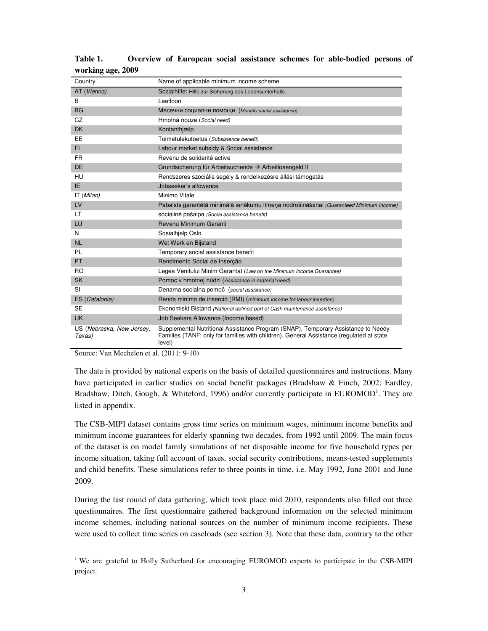| Country                             | Name of applicable minimum income scheme                                                                                                                                                |
|-------------------------------------|-----------------------------------------------------------------------------------------------------------------------------------------------------------------------------------------|
| AT (Vienna)                         | Sozialhilfe: Hilfe zur Sicherung des Lebensunterhalts                                                                                                                                   |
| B                                   | Leefloon                                                                                                                                                                                |
| <b>BG</b>                           | Месечни социални помощи (Monthly social assistance)                                                                                                                                     |
| CZ                                  | Hmotná nouze (Social need)                                                                                                                                                              |
| <b>DK</b>                           | Kontanthjælp                                                                                                                                                                            |
| EE                                  | Toimetulekutoetus (Subsistence benefit)                                                                                                                                                 |
| FI.                                 | Labour market subsidy & Social assistance                                                                                                                                               |
| FR.                                 | Revenu de solidarité active                                                                                                                                                             |
| <b>DE</b>                           | Grundsicherung für Arbeitsuchende → Arbeitlosengeld II                                                                                                                                  |
| HU                                  | Rendszeres szociális segély & rendelkezésre állási támogatás                                                                                                                            |
| IE.                                 | Jobseeker's allowance                                                                                                                                                                   |
| IT (Milan)                          | Minimo Vitale                                                                                                                                                                           |
| LV                                  | Pabalsts garantētā minimālā ienākumu līmeņa nodrošināšanai (Guaranteed Minimum Income)                                                                                                  |
| LT                                  | socialinė pašalpa (Social assistance benefit)                                                                                                                                           |
| LU                                  | Revenu Minimum Garanti                                                                                                                                                                  |
| N                                   | Sosialhjelp Oslo                                                                                                                                                                        |
| <b>NL</b>                           | Wet Werk en Bijstand                                                                                                                                                                    |
| <b>PL</b>                           | Temporary social assistance benefit                                                                                                                                                     |
| PT.                                 | Rendimento Social de Inserção                                                                                                                                                           |
| R <sub>O</sub>                      | Legea Venitului Minim Garantat (Law on the Minimum Income Guarantee)                                                                                                                    |
| <b>SK</b>                           | Pomoc v hmotnej núdzi (Assistance in material need)                                                                                                                                     |
| <b>SI</b>                           | Denarna socialna pomoč (social assistance)                                                                                                                                              |
| ES (Catalonia)                      | Renda minima de inserció (RMI) (minimum income for labour insertion)                                                                                                                    |
| <b>SE</b>                           | Ekonomiskt Bistånd (National defined part of Cash maintenance assistance)                                                                                                               |
| <b>UK</b>                           | Job Seekers Allowance (Income based)                                                                                                                                                    |
| US (Nebraska, New Jersey,<br>Texas) | Supplemental Nutritional Assistance Program (SNAP), Temporary Assistance to Needy<br>Families (TANF; only for families with children), General Assistance (regulated at state<br>level) |

**Table 1. Overview of European social assistance schemes for able-bodied persons of working age, 2009** 

Source: Van Mechelen et al. (2011: 9-10)

The data is provided by national experts on the basis of detailed questionnaires and instructions. Many have participated in earlier studies on social benefit packages (Bradshaw & Finch, 2002; Eardley, Bradshaw, Ditch, Gough, & Whiteford, 1996) and/or currently participate in EUROMOD<sup>1</sup>. They are listed in appendix.

The CSB-MIPI dataset contains gross time series on minimum wages, minimum income benefits and minimum income guarantees for elderly spanning two decades, from 1992 until 2009. The main focus of the dataset is on model family simulations of net disposable income for five household types per income situation, taking full account of taxes, social security contributions, means-tested supplements and child benefits. These simulations refer to three points in time, i.e. May 1992, June 2001 and June 2009.

During the last round of data gathering, which took place mid 2010, respondents also filled out three questionnaires. The first questionnaire gathered background information on the selected minimum income schemes, including national sources on the number of minimum income recipients. These were used to collect time series on caseloads (see section 3). Note that these data, contrary to the other

The are grateful to Holly Sutherland for encouraging EUROMOD experts to participate in the CSB-MIPI project.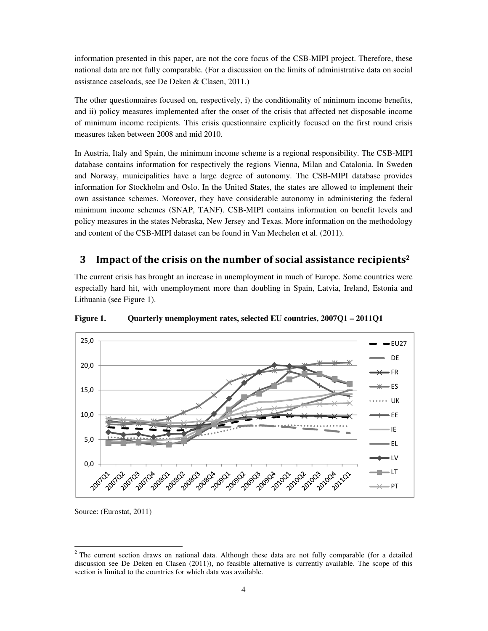information presented in this paper, are not the core focus of the CSB-MIPI project. Therefore, these national data are not fully comparable. (For a discussion on the limits of administrative data on social assistance caseloads, see De Deken & Clasen, 2011.)

The other questionnaires focused on, respectively, i) the conditionality of minimum income benefits, and ii) policy measures implemented after the onset of the crisis that affected net disposable income of minimum income recipients. This crisis questionnaire explicitly focused on the first round crisis measures taken between 2008 and mid 2010.

In Austria, Italy and Spain, the minimum income scheme is a regional responsibility. The CSB-MIPI database contains information for respectively the regions Vienna, Milan and Catalonia. In Sweden and Norway, municipalities have a large degree of autonomy. The CSB-MIPI database provides information for Stockholm and Oslo. In the United States, the states are allowed to implement their own assistance schemes. Moreover, they have considerable autonomy in administering the federal minimum income schemes (SNAP, TANF). CSB-MIPI contains information on benefit levels and policy measures in the states Nebraska, New Jersey and Texas. More information on the methodology and content of the CSB-MIPI dataset can be found in Van Mechelen et al. (2011).

#### 3 Impact of the crisis on the number of social assistance recipients<sup>2</sup>

The current crisis has brought an increase in unemployment in much of Europe. Some countries were especially hard hit, with unemployment more than doubling in Spain, Latvia, Ireland, Estonia and Lithuania (see Figure 1).



**Figure 1. Quarterly unemployment rates, selected EU countries, 2007Q1 – 2011Q1** 

Source: (Eurostat, 2011)

 $2$  The current section draws on national data. Although these data are not fully comparable (for a detailed discussion see De Deken en Clasen (2011)), no feasible alternative is currently available. The scope of this section is limited to the countries for which data was available.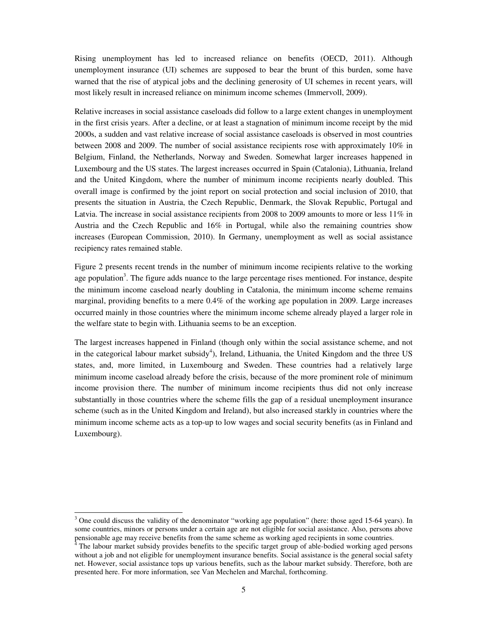Rising unemployment has led to increased reliance on benefits (OECD, 2011). Although unemployment insurance (UI) schemes are supposed to bear the brunt of this burden, some have warned that the rise of atypical jobs and the declining generosity of UI schemes in recent years, will most likely result in increased reliance on minimum income schemes (Immervoll, 2009).

Relative increases in social assistance caseloads did follow to a large extent changes in unemployment in the first crisis years. After a decline, or at least a stagnation of minimum income receipt by the mid 2000s, a sudden and vast relative increase of social assistance caseloads is observed in most countries between 2008 and 2009. The number of social assistance recipients rose with approximately 10% in Belgium, Finland, the Netherlands, Norway and Sweden. Somewhat larger increases happened in Luxembourg and the US states. The largest increases occurred in Spain (Catalonia), Lithuania, Ireland and the United Kingdom, where the number of minimum income recipients nearly doubled. This overall image is confirmed by the joint report on social protection and social inclusion of 2010, that presents the situation in Austria, the Czech Republic, Denmark, the Slovak Republic, Portugal and Latvia. The increase in social assistance recipients from 2008 to 2009 amounts to more or less 11% in Austria and the Czech Republic and 16% in Portugal, while also the remaining countries show increases (European Commission, 2010). In Germany, unemployment as well as social assistance recipiency rates remained stable.

Figure 2 presents recent trends in the number of minimum income recipients relative to the working age population<sup>3</sup>. The figure adds nuance to the large percentage rises mentioned. For instance, despite the minimum income caseload nearly doubling in Catalonia, the minimum income scheme remains marginal, providing benefits to a mere 0.4% of the working age population in 2009. Large increases occurred mainly in those countries where the minimum income scheme already played a larger role in the welfare state to begin with. Lithuania seems to be an exception.

The largest increases happened in Finland (though only within the social assistance scheme, and not in the categorical labour market subsidy<sup>4</sup>), Ireland, Lithuania, the United Kingdom and the three US states, and, more limited, in Luxembourg and Sweden. These countries had a relatively large minimum income caseload already before the crisis, because of the more prominent role of minimum income provision there. The number of minimum income recipients thus did not only increase substantially in those countries where the scheme fills the gap of a residual unemployment insurance scheme (such as in the United Kingdom and Ireland), but also increased starkly in countries where the minimum income scheme acts as a top-up to low wages and social security benefits (as in Finland and Luxembourg).

 $3$  One could discuss the validity of the denominator "working age population" (here: those aged 15-64 years). In some countries, minors or persons under a certain age are not eligible for social assistance. Also, persons above pensionable age may receive benefits from the same scheme as working aged recipients in some countries.

<sup>&</sup>lt;sup>4</sup> The labour market subsidy provides benefits to the specific target group of able-bodied working aged persons without a job and not eligible for unemployment insurance benefits. Social assistance is the general social safety net. However, social assistance tops up various benefits, such as the labour market subsidy. Therefore, both are presented here. For more information, see Van Mechelen and Marchal, forthcoming.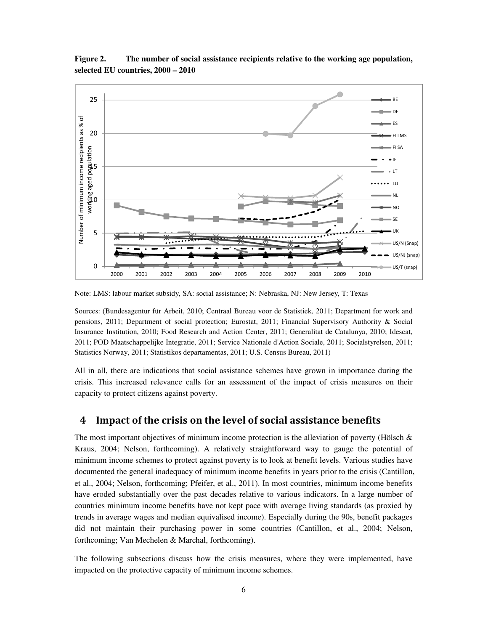

**Figure 2. The number of social assistance recipients relative to the working age population, selected EU countries, 2000 – 2010** 

Note: LMS: labour market subsidy, SA: social assistance; N: Nebraska, NJ: New Jersey, T: Texas

Sources: (Bundesagentur für Arbeit, 2010; Centraal Bureau voor de Statistiek, 2011; Department for work and pensions, 2011; Department of social protection; Eurostat, 2011; Financial Supervisory Authority & Social Insurance Institution, 2010; Food Research and Action Center, 2011; Generalitat de Catalunya, 2010; Idescat, 2011; POD Maatschappelijke Integratie, 2011; Service Nationale d'Action Sociale, 2011; Socialstyrelsen, 2011; Statistics Norway, 2011; Statistikos departamentas, 2011; U.S. Census Bureau, 2011)

All in all, there are indications that social assistance schemes have grown in importance during the crisis. This increased relevance calls for an assessment of the impact of crisis measures on their capacity to protect citizens against poverty.

#### 4 Impact of the crisis on the level of social assistance benefits

The most important objectives of minimum income protection is the alleviation of poverty (Hölsch  $\&$ Kraus, 2004; Nelson, forthcoming). A relatively straightforward way to gauge the potential of minimum income schemes to protect against poverty is to look at benefit levels. Various studies have documented the general inadequacy of minimum income benefits in years prior to the crisis (Cantillon, et al., 2004; Nelson, forthcoming; Pfeifer, et al., 2011). In most countries, minimum income benefits have eroded substantially over the past decades relative to various indicators. In a large number of countries minimum income benefits have not kept pace with average living standards (as proxied by trends in average wages and median equivalised income). Especially during the 90s, benefit packages did not maintain their purchasing power in some countries (Cantillon, et al., 2004; Nelson, forthcoming; Van Mechelen & Marchal, forthcoming).

The following subsections discuss how the crisis measures, where they were implemented, have impacted on the protective capacity of minimum income schemes.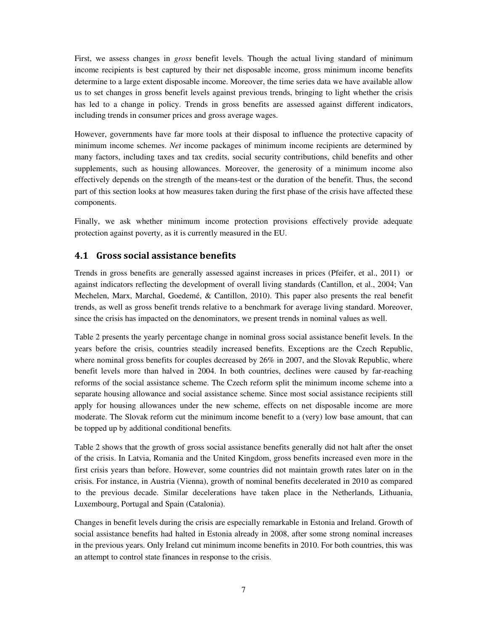First, we assess changes in *gross* benefit levels. Though the actual living standard of minimum income recipients is best captured by their net disposable income, gross minimum income benefits determine to a large extent disposable income. Moreover, the time series data we have available allow us to set changes in gross benefit levels against previous trends, bringing to light whether the crisis has led to a change in policy. Trends in gross benefits are assessed against different indicators, including trends in consumer prices and gross average wages.

However, governments have far more tools at their disposal to influence the protective capacity of minimum income schemes. *Net* income packages of minimum income recipients are determined by many factors, including taxes and tax credits, social security contributions, child benefits and other supplements, such as housing allowances. Moreover, the generosity of a minimum income also effectively depends on the strength of the means-test or the duration of the benefit. Thus, the second part of this section looks at how measures taken during the first phase of the crisis have affected these components.

Finally, we ask whether minimum income protection provisions effectively provide adequate protection against poverty, as it is currently measured in the EU.

#### 4.1 Gross social assistance benefits

Trends in gross benefits are generally assessed against increases in prices (Pfeifer, et al., 2011) or against indicators reflecting the development of overall living standards (Cantillon, et al., 2004; Van Mechelen, Marx, Marchal, Goedemé, & Cantillon, 2010). This paper also presents the real benefit trends, as well as gross benefit trends relative to a benchmark for average living standard. Moreover, since the crisis has impacted on the denominators, we present trends in nominal values as well.

Table 2 presents the yearly percentage change in nominal gross social assistance benefit levels. In the years before the crisis, countries steadily increased benefits. Exceptions are the Czech Republic, where nominal gross benefits for couples decreased by 26% in 2007, and the Slovak Republic, where benefit levels more than halved in 2004. In both countries, declines were caused by far-reaching reforms of the social assistance scheme. The Czech reform split the minimum income scheme into a separate housing allowance and social assistance scheme. Since most social assistance recipients still apply for housing allowances under the new scheme, effects on net disposable income are more moderate. The Slovak reform cut the minimum income benefit to a (very) low base amount, that can be topped up by additional conditional benefits.

Table 2 shows that the growth of gross social assistance benefits generally did not halt after the onset of the crisis. In Latvia, Romania and the United Kingdom, gross benefits increased even more in the first crisis years than before. However, some countries did not maintain growth rates later on in the crisis. For instance, in Austria (Vienna), growth of nominal benefits decelerated in 2010 as compared to the previous decade. Similar decelerations have taken place in the Netherlands, Lithuania, Luxembourg, Portugal and Spain (Catalonia).

Changes in benefit levels during the crisis are especially remarkable in Estonia and Ireland. Growth of social assistance benefits had halted in Estonia already in 2008, after some strong nominal increases in the previous years. Only Ireland cut minimum income benefits in 2010. For both countries, this was an attempt to control state finances in response to the crisis.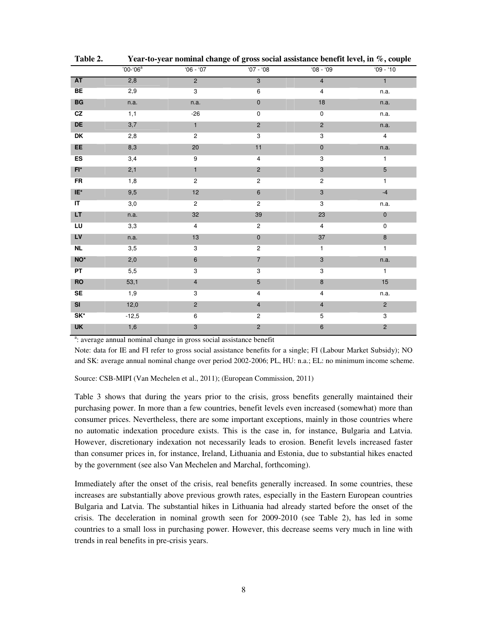|                        | $'00 - '06^a$ | $'06 - '07$    | $'07 - '08$               | $08 - 09$                 | $'09 - '10$    |
|------------------------|---------------|----------------|---------------------------|---------------------------|----------------|
| <b>AT</b>              | 2,8           | $\overline{2}$ | $\overline{3}$            | $\overline{4}$            | $\overline{1}$ |
| BE                     | 2,9           | $\overline{3}$ | $\,6$                     | 4                         | n.a.           |
| $\mathbf{B}\mathbf{G}$ | n.a.          | n.a.           | $\pmb{0}$                 | 18                        | n.a.           |
| CZ                     | 1,1           | $-26$          | $\pmb{0}$                 | $\mathsf 0$               | n.a.           |
| DE                     | 3,7           | $\mathbf{1}$   | $\sqrt{2}$                | $\overline{2}$            | n.a.           |
| DK                     | 2,8           | $\overline{2}$ | $\ensuremath{\mathsf{3}}$ | $\ensuremath{\mathsf{3}}$ | 4              |
| EE                     | 8,3           | 20             | 11                        | $\pmb{0}$                 | n.a.           |
| <b>ES</b>              | 3,4           | $9\,$          | $\overline{4}$            | 3                         | $\overline{1}$ |
| $FI^*$                 | 2,1           | $\mathbf{1}$   | $\overline{c}$            | $\ensuremath{\mathsf{3}}$ | 5              |
| <b>FR</b>              | 1,8           | $\overline{2}$ | $\overline{2}$            | $\overline{2}$            | $\mathbf{1}$   |
| IE*                    | 9,5           | 12             | $\boldsymbol{6}$          | $\sqrt{3}$                | $-4$           |
| IT                     | 3,0           | $\overline{2}$ | $\overline{2}$            | 3                         | n.a.           |
| LT.                    | n.a.          | 32             | 39                        | 23                        | $\pmb{0}$      |
| LU                     | 3,3           | $\overline{4}$ | $\overline{c}$            | $\overline{4}$            | $\pmb{0}$      |
| <b>LV</b>              | n.a.          | 13             | $\pmb{0}$                 | 37                        | $\bf 8$        |
| <b>NL</b>              | 3,5           | 3              | $\overline{\mathbf{c}}$   | $\mathbf{1}$              | $\mathbf{1}$   |
| $NO^*$                 | 2,0           | $\,6\,$        | $\overline{7}$            | $\ensuremath{\mathsf{3}}$ | n.a.           |
| PT                     | 5,5           | $\overline{3}$ | $\overline{3}$            | $\overline{3}$            | $\mathbf{1}$   |
| <b>RO</b>              | 53,1          | $\overline{4}$ | $5\overline{)}$           | $\bf 8$                   | 15             |
| SE                     | 1,9           | $\overline{3}$ | $\overline{\mathbf{4}}$   | $\overline{4}$            | n.a.           |
| SI                     | 12,0          | $\overline{2}$ | $\overline{4}$            | $\overline{4}$            | $\overline{2}$ |
| $SK^*$                 | $-12,5$       | $\,6\,$        | $\sqrt{2}$                | $\sqrt{5}$                | $\overline{3}$ |
| <b>UK</b>              | 1,6           | 3              | $\overline{c}$            | $\,6\,$                   | $\overline{c}$ |

**Table 2. Year-to-year nominal change of gross social assistance benefit level, in %, couple** 

<sup>a</sup>: average annual nominal change in gross social assistance benefit

Note: data for IE and FI refer to gross social assistance benefits for a single; FI (Labour Market Subsidy); NO and SK: average annual nominal change over period 2002-2006; PL, HU: n.a.; EL: no minimum income scheme.

Source: CSB-MIPI (Van Mechelen et al., 2011); (European Commission, 2011)

Table 3 shows that during the years prior to the crisis, gross benefits generally maintained their purchasing power. In more than a few countries, benefit levels even increased (somewhat) more than consumer prices. Nevertheless, there are some important exceptions, mainly in those countries where no automatic indexation procedure exists. This is the case in, for instance, Bulgaria and Latvia. However, discretionary indexation not necessarily leads to erosion. Benefit levels increased faster than consumer prices in, for instance, Ireland, Lithuania and Estonia, due to substantial hikes enacted by the government (see also Van Mechelen and Marchal, forthcoming).

Immediately after the onset of the crisis, real benefits generally increased. In some countries, these increases are substantially above previous growth rates, especially in the Eastern European countries Bulgaria and Latvia. The substantial hikes in Lithuania had already started before the onset of the crisis. The deceleration in nominal growth seen for 2009-2010 (see Table 2), has led in some countries to a small loss in purchasing power. However, this decrease seems very much in line with trends in real benefits in pre-crisis years.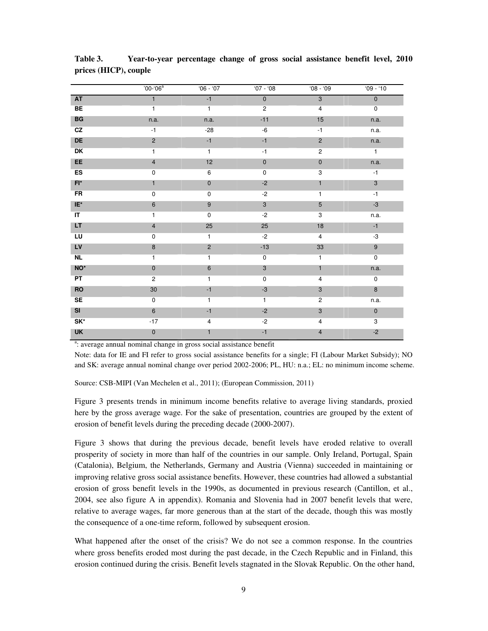|                                   | $'00-(06^a)$            | $'06 - '07$    | $07 - 08$               | $08 - 09$                 | $'09 - '10$      |
|-----------------------------------|-------------------------|----------------|-------------------------|---------------------------|------------------|
| <b>AT</b>                         | $\overline{1}$          | $-1$           | $\overline{0}$          | $\overline{3}$            | $\overline{0}$   |
| BE                                | $\mathbf{1}$            | $\mathbf{1}$   | $\overline{\mathbf{c}}$ | $\overline{4}$            | $\mathbf 0$      |
| $\mathsf{B}\mathsf{G}$            | n.a.                    | n.a.           | $-11$                   | 15                        | n.a.             |
| CZ                                | $-1$                    | $-28$          | -6                      | $-1$                      | n.a.             |
| DE                                | $\sqrt{2}$              | $-1$           | $-1$                    | $\overline{c}$            | n.a.             |
| DK                                | $\mathbf{1}$            | $\mathbf{1}$   | $-1$                    | $\overline{2}$            | $\overline{1}$   |
| EE                                | $\overline{4}$          | 12             | $\pmb{0}$               | $\pmb{0}$                 | n.a.             |
| <b>ES</b>                         | $\pmb{0}$               | 6              | $\mathbf 0$             | $\overline{3}$            | $-1$             |
| $F^*$                             | $\mathbf{1}$            | $\pmb{0}$      | $-2$                    | 1                         | $\mathbf{3}$     |
| <b>FR</b>                         | $\pmb{0}$               | $\mathbf 0$    | $-2$                    | 1                         | $-1$             |
| $IE^*$                            | $\,6\,$                 | 9              | $\mathbf{3}$            | 5                         | $-3$             |
| $\overline{\mathsf{I}\mathsf{T}}$ | $\mathbf{1}$            | $\mathbf 0$    | $-2$                    | 3                         | n.a.             |
| LT.                               | $\overline{\mathbf{4}}$ | 25             | 25                      | 18                        | $-1$             |
| LU                                | $\pmb{0}$               | $\mathbf{1}$   | $-2$                    | $\overline{4}$            | $-3$             |
| <b>LV</b>                         | $\bf 8$                 | $\overline{c}$ | $-13$                   | $33\,$                    | $\boldsymbol{9}$ |
| <b>NL</b>                         | $\mathbf{1}$            | $\mathbf{1}$   | $\pmb{0}$               | 1                         | $\mathbf 0$      |
| NO <sup>*</sup>                   | $\pmb{0}$               | $\,6\,$        | $\mathbf{3}$            | $\mathbf{1}$              | n.a.             |
| PT                                | $\mathbf 2$             | $\mathbf{1}$   | 0                       | $\overline{\mathbf{4}}$   | $\mathsf 0$      |
| <b>RO</b>                         | $30\,$                  | $-1$           | $-3$                    | $\ensuremath{\mathsf{3}}$ | 8                |
| <b>SE</b>                         | 0                       | $\mathbf{1}$   | $\mathbf{1}$            | $\overline{2}$            | n.a.             |
| SI                                | $\,6\,$                 | $-1$           | $-2$                    | $\mathbf{3}$              | $\mathbf 0$      |
| SK*                               | $-17$                   | 4              | $-2$                    | 4                         | 3                |
| <b>UK</b>                         | $\pmb{0}$               | 1              | $-1$                    | 4                         | $-2$             |

**Table 3. Year-to-year percentage change of gross social assistance benefit level, 2010 prices (HICP), couple** 

<sup>a</sup>: average annual nominal change in gross social assistance benefit

Note: data for IE and FI refer to gross social assistance benefits for a single; FI (Labour Market Subsidy); NO and SK: average annual nominal change over period 2002-2006; PL, HU: n.a.; EL: no minimum income scheme.

Source: CSB-MIPI (Van Mechelen et al., 2011); (European Commission, 2011)

Figure 3 presents trends in minimum income benefits relative to average living standards, proxied here by the gross average wage. For the sake of presentation, countries are grouped by the extent of erosion of benefit levels during the preceding decade (2000-2007).

Figure 3 shows that during the previous decade, benefit levels have eroded relative to overall prosperity of society in more than half of the countries in our sample. Only Ireland, Portugal, Spain (Catalonia), Belgium, the Netherlands, Germany and Austria (Vienna) succeeded in maintaining or improving relative gross social assistance benefits. However, these countries had allowed a substantial erosion of gross benefit levels in the 1990s, as documented in previous research (Cantillon, et al., 2004, see also figure A in appendix). Romania and Slovenia had in 2007 benefit levels that were, relative to average wages, far more generous than at the start of the decade, though this was mostly the consequence of a one-time reform, followed by subsequent erosion.

What happened after the onset of the crisis? We do not see a common response. In the countries where gross benefits eroded most during the past decade, in the Czech Republic and in Finland, this erosion continued during the crisis. Benefit levels stagnated in the Slovak Republic. On the other hand,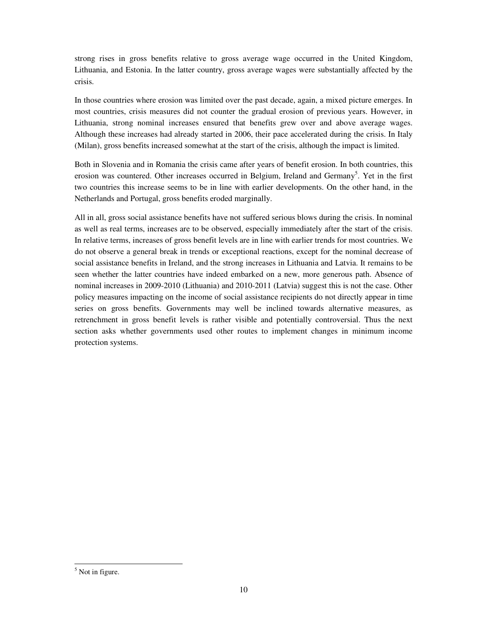strong rises in gross benefits relative to gross average wage occurred in the United Kingdom, Lithuania, and Estonia. In the latter country, gross average wages were substantially affected by the crisis.

In those countries where erosion was limited over the past decade, again, a mixed picture emerges. In most countries, crisis measures did not counter the gradual erosion of previous years. However, in Lithuania, strong nominal increases ensured that benefits grew over and above average wages. Although these increases had already started in 2006, their pace accelerated during the crisis. In Italy (Milan), gross benefits increased somewhat at the start of the crisis, although the impact is limited.

Both in Slovenia and in Romania the crisis came after years of benefit erosion. In both countries, this erosion was countered. Other increases occurred in Belgium, Ireland and Germany<sup>5</sup>. Yet in the first two countries this increase seems to be in line with earlier developments. On the other hand, in the Netherlands and Portugal, gross benefits eroded marginally.

All in all, gross social assistance benefits have not suffered serious blows during the crisis. In nominal as well as real terms, increases are to be observed, especially immediately after the start of the crisis. In relative terms, increases of gross benefit levels are in line with earlier trends for most countries. We do not observe a general break in trends or exceptional reactions, except for the nominal decrease of social assistance benefits in Ireland, and the strong increases in Lithuania and Latvia. It remains to be seen whether the latter countries have indeed embarked on a new, more generous path. Absence of nominal increases in 2009-2010 (Lithuania) and 2010-2011 (Latvia) suggest this is not the case. Other policy measures impacting on the income of social assistance recipients do not directly appear in time series on gross benefits. Governments may well be inclined towards alternative measures, as retrenchment in gross benefit levels is rather visible and potentially controversial. Thus the next section asks whether governments used other routes to implement changes in minimum income protection systems.

<sup>&</sup>lt;sup>5</sup> Not in figure.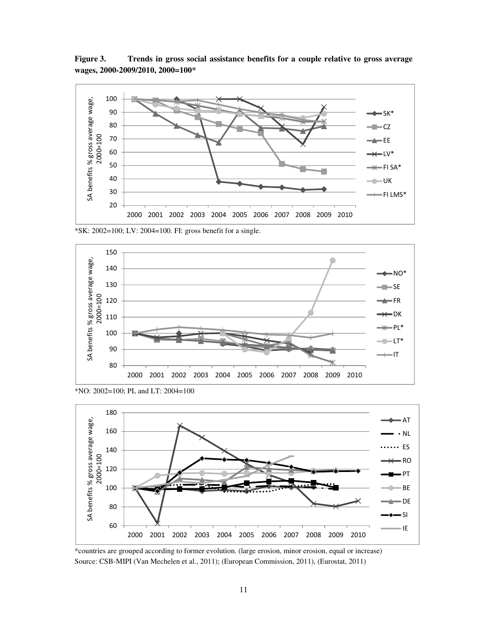**Figure 3. Trends in gross social assistance benefits for a couple relative to gross average wages, 2000-2009/2010, 2000=100\*** 



\*SK: 2002=100; LV: 2004=100. FI: gross benefit for a single.



<sup>\*</sup>NO: 2002=100; PL and LT: 2004=100



<sup>\*</sup>countries are grouped according to former evolution. (large erosion, minor erosion, equal or increase) Source: CSB-MIPI (Van Mechelen et al., 2011); (European Commission, 2011), (Eurostat, 2011)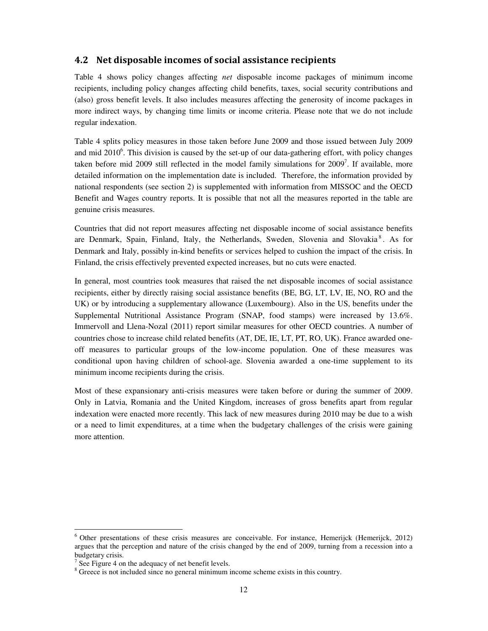#### 4.2 Net disposable incomes of social assistance recipients

Table 4 shows policy changes affecting *net* disposable income packages of minimum income recipients, including policy changes affecting child benefits, taxes, social security contributions and (also) gross benefit levels. It also includes measures affecting the generosity of income packages in more indirect ways, by changing time limits or income criteria. Please note that we do not include regular indexation.

Table 4 splits policy measures in those taken before June 2009 and those issued between July 2009 and mid  $2010^6$ . This division is caused by the set-up of our data-gathering effort, with policy changes taken before mid 2009 still reflected in the model family simulations for  $2009<sup>7</sup>$ . If available, more detailed information on the implementation date is included. Therefore, the information provided by national respondents (see section 2) is supplemented with information from MISSOC and the OECD Benefit and Wages country reports. It is possible that not all the measures reported in the table are genuine crisis measures.

Countries that did not report measures affecting net disposable income of social assistance benefits are Denmark, Spain, Finland, Italy, the Netherlands, Sweden, Slovenia and Slovakia<sup>8</sup>. As for Denmark and Italy, possibly in-kind benefits or services helped to cushion the impact of the crisis. In Finland, the crisis effectively prevented expected increases, but no cuts were enacted.

In general, most countries took measures that raised the net disposable incomes of social assistance recipients, either by directly raising social assistance benefits (BE, BG, LT, LV, IE, NO, RO and the UK) or by introducing a supplementary allowance (Luxembourg). Also in the US, benefits under the Supplemental Nutritional Assistance Program (SNAP, food stamps) were increased by 13.6%. Immervoll and Llena-Nozal (2011) report similar measures for other OECD countries. A number of countries chose to increase child related benefits (AT, DE, IE, LT, PT, RO, UK). France awarded oneoff measures to particular groups of the low-income population. One of these measures was conditional upon having children of school-age. Slovenia awarded a one-time supplement to its minimum income recipients during the crisis.

Most of these expansionary anti-crisis measures were taken before or during the summer of 2009. Only in Latvia, Romania and the United Kingdom, increases of gross benefits apart from regular indexation were enacted more recently. This lack of new measures during 2010 may be due to a wish or a need to limit expenditures, at a time when the budgetary challenges of the crisis were gaining more attention.

<sup>&</sup>lt;sup>6</sup> Other presentations of these crisis measures are conceivable. For instance, Hemerijck (Hemerijck, 2012) argues that the perception and nature of the crisis changed by the end of 2009, turning from a recession into a budgetary crisis.

 $7$  See Figure 4 on the adequacy of net benefit levels.

<sup>&</sup>lt;sup>8</sup> Greece is not included since no general minimum income scheme exists in this country.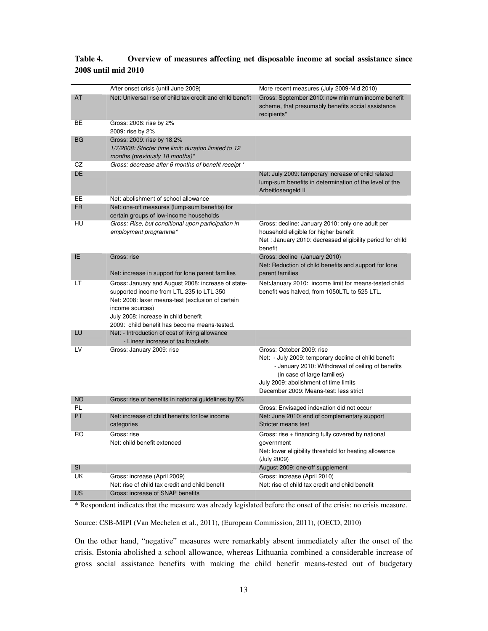|           | After onset crisis (until June 2009)                                                                                                                                                                                                                           | More recent measures (July 2009-Mid 2010)                                                                                                                                                                                                                |
|-----------|----------------------------------------------------------------------------------------------------------------------------------------------------------------------------------------------------------------------------------------------------------------|----------------------------------------------------------------------------------------------------------------------------------------------------------------------------------------------------------------------------------------------------------|
| AT        | Net: Universal rise of child tax credit and child benefit                                                                                                                                                                                                      | Gross: September 2010: new minimum income benefit<br>scheme, that presumably benefits social assistance<br>recipients*                                                                                                                                   |
| BE        | Gross: 2008: rise by 2%<br>2009: rise by 2%                                                                                                                                                                                                                    |                                                                                                                                                                                                                                                          |
| <b>BG</b> | Gross: 2009: rise by 18.2%<br>1/7/2008: Stricter time limit: duration limited to 12<br>months (previously 18 months)*                                                                                                                                          |                                                                                                                                                                                                                                                          |
| CZ        | Gross: decrease after 6 months of benefit receipt *                                                                                                                                                                                                            |                                                                                                                                                                                                                                                          |
| <b>DE</b> |                                                                                                                                                                                                                                                                | Net: July 2009: temporary increase of child related<br>lump-sum benefits in determination of the level of the<br>Arbeitlosengeld II                                                                                                                      |
| EE        | Net: abolishment of school allowance                                                                                                                                                                                                                           |                                                                                                                                                                                                                                                          |
| <b>FR</b> | Net: one-off measures (lump-sum benefits) for<br>certain groups of low-income households                                                                                                                                                                       |                                                                                                                                                                                                                                                          |
| HU        | Gross: Rise, but conditional upon participation in<br>employment programme*                                                                                                                                                                                    | Gross: decline: January 2010: only one adult per<br>household eligible for higher benefit<br>Net : January 2010: decreased eligibility period for child<br>benefit                                                                                       |
| IE.       | Gross: rise<br>Net: increase in support for lone parent families                                                                                                                                                                                               | Gross: decline (January 2010)<br>Net: Reduction of child benefits and support for lone<br>parent families                                                                                                                                                |
| LT        | Gross: January and August 2008: increase of state-<br>supported income from LTL 235 to LTL 350<br>Net: 2008: laxer means-test (exclusion of certain<br>income sources)<br>July 2008: increase in child benefit<br>2009: child benefit has become means-tested. | Net: January 2010: income limit for means-tested child<br>benefit was halved, from 1050LTL to 525 LTL.                                                                                                                                                   |
| LU        | Net: - Introduction of cost of living allowance<br>- Linear increase of tax brackets                                                                                                                                                                           |                                                                                                                                                                                                                                                          |
| LV        | Gross: January 2009: rise                                                                                                                                                                                                                                      | Gross: October 2009: rise<br>Net: - July 2009: temporary decline of child benefit<br>- January 2010: Withdrawal of ceiling of benefits<br>(in case of large families)<br>July 2009: abolishment of time limits<br>December 2009: Means-test: less strict |
| <b>NO</b> | Gross: rise of benefits in national guidelines by 5%                                                                                                                                                                                                           |                                                                                                                                                                                                                                                          |
| PL        |                                                                                                                                                                                                                                                                | Gross: Envisaged indexation did not occur                                                                                                                                                                                                                |
| PT        | Net: increase of child benefits for low income<br>categories                                                                                                                                                                                                   | Net: June 2010: end of complementary support<br>Stricter means test                                                                                                                                                                                      |
| RO        | Gross: rise<br>Net: child benefit extended                                                                                                                                                                                                                     | Gross: rise + financing fully covered by national<br>government<br>Net: lower eligibility threshold for heating allowance<br>(July 2009)                                                                                                                 |
| <b>SI</b> |                                                                                                                                                                                                                                                                | August 2009: one-off supplement                                                                                                                                                                                                                          |
| UK        | Gross: increase (April 2009)<br>Net: rise of child tax credit and child benefit                                                                                                                                                                                | Gross: increase (April 2010)<br>Net: rise of child tax credit and child benefit                                                                                                                                                                          |
| US        | Gross: increase of SNAP benefits                                                                                                                                                                                                                               |                                                                                                                                                                                                                                                          |

#### **Table 4. Overview of measures affecting net disposable income at social assistance since 2008 until mid 2010**

\* Respondent indicates that the measure was already legislated before the onset of the crisis: no crisis measure.

Source: CSB-MIPI (Van Mechelen et al., 2011), (European Commission, 2011), (OECD, 2010)

On the other hand, "negative" measures were remarkably absent immediately after the onset of the crisis. Estonia abolished a school allowance, whereas Lithuania combined a considerable increase of gross social assistance benefits with making the child benefit means-tested out of budgetary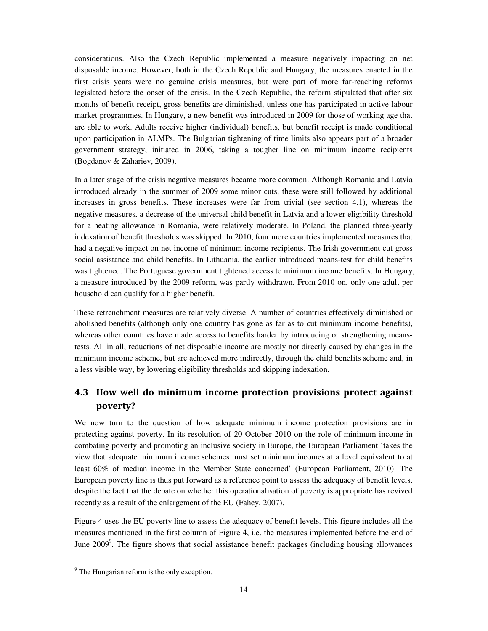considerations. Also the Czech Republic implemented a measure negatively impacting on net disposable income. However, both in the Czech Republic and Hungary, the measures enacted in the first crisis years were no genuine crisis measures, but were part of more far-reaching reforms legislated before the onset of the crisis. In the Czech Republic, the reform stipulated that after six months of benefit receipt, gross benefits are diminished, unless one has participated in active labour market programmes. In Hungary, a new benefit was introduced in 2009 for those of working age that are able to work. Adults receive higher (individual) benefits, but benefit receipt is made conditional upon participation in ALMPs. The Bulgarian tightening of time limits also appears part of a broader government strategy, initiated in 2006, taking a tougher line on minimum income recipients (Bogdanov & Zahariev, 2009).

In a later stage of the crisis negative measures became more common. Although Romania and Latvia introduced already in the summer of 2009 some minor cuts, these were still followed by additional increases in gross benefits. These increases were far from trivial (see section 4.1), whereas the negative measures, a decrease of the universal child benefit in Latvia and a lower eligibility threshold for a heating allowance in Romania, were relatively moderate. In Poland, the planned three-yearly indexation of benefit thresholds was skipped. In 2010, four more countries implemented measures that had a negative impact on net income of minimum income recipients. The Irish government cut gross social assistance and child benefits. In Lithuania, the earlier introduced means-test for child benefits was tightened. The Portuguese government tightened access to minimum income benefits. In Hungary, a measure introduced by the 2009 reform, was partly withdrawn. From 2010 on, only one adult per household can qualify for a higher benefit.

These retrenchment measures are relatively diverse. A number of countries effectively diminished or abolished benefits (although only one country has gone as far as to cut minimum income benefits), whereas other countries have made access to benefits harder by introducing or strengthening meanstests. All in all, reductions of net disposable income are mostly not directly caused by changes in the minimum income scheme, but are achieved more indirectly, through the child benefits scheme and, in a less visible way, by lowering eligibility thresholds and skipping indexation.

## 4.3 How well do minimum income protection provisions protect against poverty?

We now turn to the question of how adequate minimum income protection provisions are in protecting against poverty. In its resolution of 20 October 2010 on the role of minimum income in combating poverty and promoting an inclusive society in Europe, the European Parliament 'takes the view that adequate minimum income schemes must set minimum incomes at a level equivalent to at least 60% of median income in the Member State concerned' (European Parliament, 2010). The European poverty line is thus put forward as a reference point to assess the adequacy of benefit levels, despite the fact that the debate on whether this operationalisation of poverty is appropriate has revived recently as a result of the enlargement of the EU (Fahey, 2007).

Figure 4 uses the EU poverty line to assess the adequacy of benefit levels. This figure includes all the measures mentioned in the first column of Figure 4, i.e. the measures implemented before the end of June 2009<sup>9</sup>. The figure shows that social assistance benefit packages (including housing allowances

<sup>&</sup>lt;sup>9</sup> The Hungarian reform is the only exception.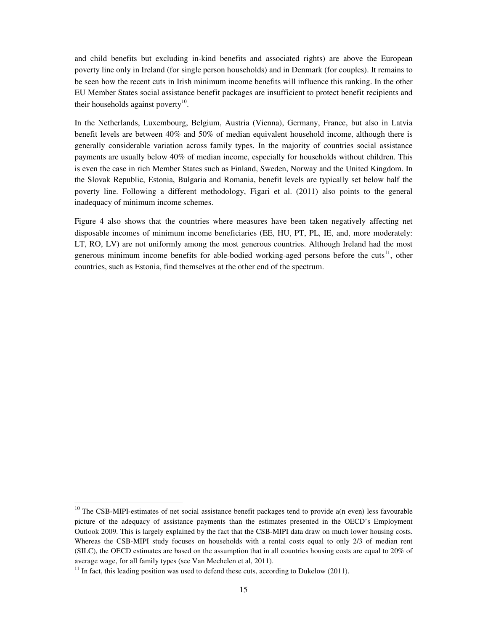and child benefits but excluding in-kind benefits and associated rights) are above the European poverty line only in Ireland (for single person households) and in Denmark (for couples). It remains to be seen how the recent cuts in Irish minimum income benefits will influence this ranking. In the other EU Member States social assistance benefit packages are insufficient to protect benefit recipients and their households against poverty $10$ .

In the Netherlands, Luxembourg, Belgium, Austria (Vienna), Germany, France, but also in Latvia benefit levels are between 40% and 50% of median equivalent household income, although there is generally considerable variation across family types. In the majority of countries social assistance payments are usually below 40% of median income, especially for households without children. This is even the case in rich Member States such as Finland, Sweden, Norway and the United Kingdom. In the Slovak Republic, Estonia, Bulgaria and Romania, benefit levels are typically set below half the poverty line. Following a different methodology, Figari et al. (2011) also points to the general inadequacy of minimum income schemes.

Figure 4 also shows that the countries where measures have been taken negatively affecting net disposable incomes of minimum income beneficiaries (EE, HU, PT, PL, IE, and, more moderately: LT, RO, LV) are not uniformly among the most generous countries. Although Ireland had the most generous minimum income benefits for able-bodied working-aged persons before the cuts<sup>11</sup>, other countries, such as Estonia, find themselves at the other end of the spectrum.

 $10$  The CSB-MIPI-estimates of net social assistance benefit packages tend to provide a(n even) less favourable picture of the adequacy of assistance payments than the estimates presented in the OECD's Employment Outlook 2009. This is largely explained by the fact that the CSB-MIPI data draw on much lower housing costs. Whereas the CSB-MIPI study focuses on households with a rental costs equal to only 2/3 of median rent (SILC), the OECD estimates are based on the assumption that in all countries housing costs are equal to 20% of average wage, for all family types (see Van Mechelen et al, 2011).

 $11$  In fact, this leading position was used to defend these cuts, according to Dukelow (2011).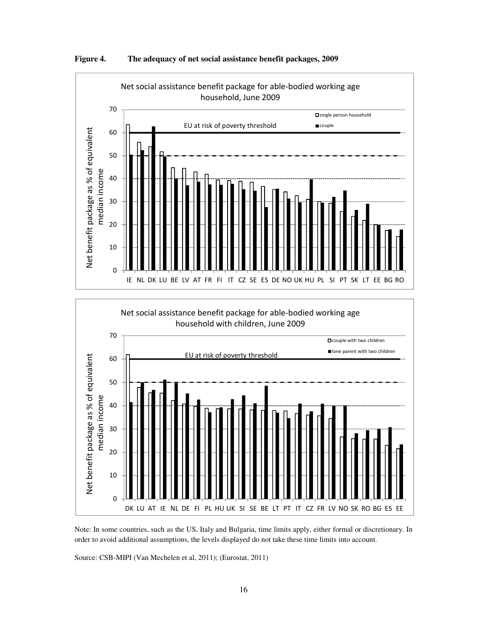





Note: In some countries, such as the US, Italy and Bulgaria, time limits apply, either formal or discretionary. In order to avoid additional assumptions, the levels displayed do not take these time limits into account.

Source: CSB-MIPI (Van Mechelen et al, 2011); (Eurostat, 2011)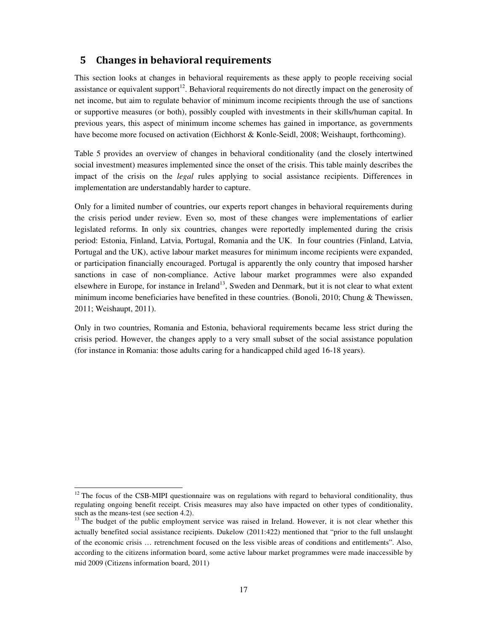#### 5 Changes in behavioral requirements

This section looks at changes in behavioral requirements as these apply to people receiving social assistance or equivalent support<sup>12</sup>. Behavioral requirements do not directly impact on the generosity of net income, but aim to regulate behavior of minimum income recipients through the use of sanctions or supportive measures (or both), possibly coupled with investments in their skills/human capital. In previous years, this aspect of minimum income schemes has gained in importance, as governments have become more focused on activation (Eichhorst & Konle-Seidl, 2008; Weishaupt, forthcoming).

Table 5 provides an overview of changes in behavioral conditionality (and the closely intertwined social investment) measures implemented since the onset of the crisis. This table mainly describes the impact of the crisis on the *legal* rules applying to social assistance recipients. Differences in implementation are understandably harder to capture.

Only for a limited number of countries, our experts report changes in behavioral requirements during the crisis period under review. Even so, most of these changes were implementations of earlier legislated reforms. In only six countries, changes were reportedly implemented during the crisis period: Estonia, Finland, Latvia, Portugal, Romania and the UK. In four countries (Finland, Latvia, Portugal and the UK), active labour market measures for minimum income recipients were expanded, or participation financially encouraged. Portugal is apparently the only country that imposed harsher sanctions in case of non-compliance. Active labour market programmes were also expanded elsewhere in Europe, for instance in Ireland<sup>13</sup>, Sweden and Denmark, but it is not clear to what extent minimum income beneficiaries have benefited in these countries. (Bonoli, 2010; Chung  $&$  Thewissen, 2011; Weishaupt, 2011).

Only in two countries, Romania and Estonia, behavioral requirements became less strict during the crisis period. However, the changes apply to a very small subset of the social assistance population (for instance in Romania: those adults caring for a handicapped child aged 16-18 years).

 $12$  The focus of the CSB-MIPI questionnaire was on regulations with regard to behavioral conditionality, thus regulating ongoing benefit receipt. Crisis measures may also have impacted on other types of conditionality, such as the means-test (see section 4.2).

<sup>&</sup>lt;sup>13</sup> The budget of the public employment service was raised in Ireland. However, it is not clear whether this actually benefited social assistance recipients. Dukelow (2011:422) mentioned that "prior to the full unslaught of the economic crisis … retrenchment focused on the less visible areas of conditions and entitlements". Also, according to the citizens information board, some active labour market programmes were made inaccessible by mid 2009 (Citizens information board, 2011)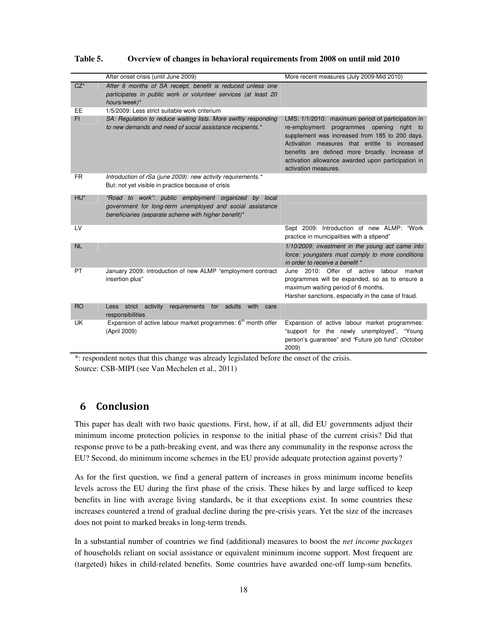|           | After onset crisis (until June 2009)                                                                                                                                      | More recent measures (July 2009-Mid 2010)                                                                                                                                                                                                                                                                                            |
|-----------|---------------------------------------------------------------------------------------------------------------------------------------------------------------------------|--------------------------------------------------------------------------------------------------------------------------------------------------------------------------------------------------------------------------------------------------------------------------------------------------------------------------------------|
| $CZ^*$    | After 6 months of SA receipt, benefit is reduced unless one<br>participates in public work or volunteer services (at least 20<br>hours/week)*                             |                                                                                                                                                                                                                                                                                                                                      |
| EE        | 1/5/2009: Less strict suitable work criterium                                                                                                                             |                                                                                                                                                                                                                                                                                                                                      |
| FI        | SA: Regulation to reduce waiting lists. More swiftly responding<br>to new demands and need of social assistance recipients.*                                              | LMS: 1/1/2010: maximum period of participation in<br>re-employment<br>programmes opening right to<br>supplement was increased from 185 to 200 days.<br>Activation measures that entitle to increased<br>benefits are defined more broadly. Increase of<br>activation allowance awarded upon participation in<br>activation measures. |
| <b>FR</b> | Introduction of rSa (june 2009): new activity requirements.*<br>But: not yet visible in practice because of crisis                                                        |                                                                                                                                                                                                                                                                                                                                      |
| HU*       | "Road to work": public employment organized by local<br>government for long-term unemployed and social assistance<br>beneficiaries (separate scheme with higher benefit)* |                                                                                                                                                                                                                                                                                                                                      |
| LV        |                                                                                                                                                                           | Sept 2009: Introduction of new ALMP: "Work<br>practice in municipalities with a stipend"                                                                                                                                                                                                                                             |
| <b>NL</b> |                                                                                                                                                                           | 1/10/2009: investment in the young act came into<br>force: youngsters must comply to more conditions<br>in order to receive a benefit *                                                                                                                                                                                              |
| <b>PT</b> | January 2009: introduction of new ALMP "employment contract<br>insertion plus"                                                                                            | June 2010: Offer of active<br>labour<br>market<br>programmes will be expanded, so as to ensure a<br>maximum waiting period of 6 months.<br>Harsher sanctions, especially in the case of fraud.                                                                                                                                       |
| <b>RO</b> | activity<br>requirements for<br>adults<br>with<br>strict<br>Less<br>care<br>responsibilities                                                                              |                                                                                                                                                                                                                                                                                                                                      |
| UK        | Expansion of active labour market programmes: $6th$ month offer<br>(April 2009)                                                                                           | Expansion of active labour market programmes:<br>"support for the newly unemployed", "Young<br>person's guarantee" and "Future job fund" (October<br>2009)                                                                                                                                                                           |

**Table 5. Overview of changes in behavioral requirements from 2008 on until mid 2010** 

\*: respondent notes that this change was already legislated before the onset of the crisis. Source: CSB-MIPI (see Van Mechelen et al., 2011)

#### 6 Conclusion

This paper has dealt with two basic questions. First, how, if at all, did EU governments adjust their minimum income protection policies in response to the initial phase of the current crisis? Did that response prove to be a path-breaking event, and was there any communality in the response across the EU? Second, do minimum income schemes in the EU provide adequate protection against poverty?

As for the first question, we find a general pattern of increases in gross minimum income benefits levels across the EU during the first phase of the crisis. These hikes by and large sufficed to keep benefits in line with average living standards, be it that exceptions exist. In some countries these increases countered a trend of gradual decline during the pre-crisis years. Yet the size of the increases does not point to marked breaks in long-term trends.

In a substantial number of countries we find (additional) measures to boost the *net income packages*  of households reliant on social assistance or equivalent minimum income support. Most frequent are (targeted) hikes in child-related benefits. Some countries have awarded one-off lump-sum benefits.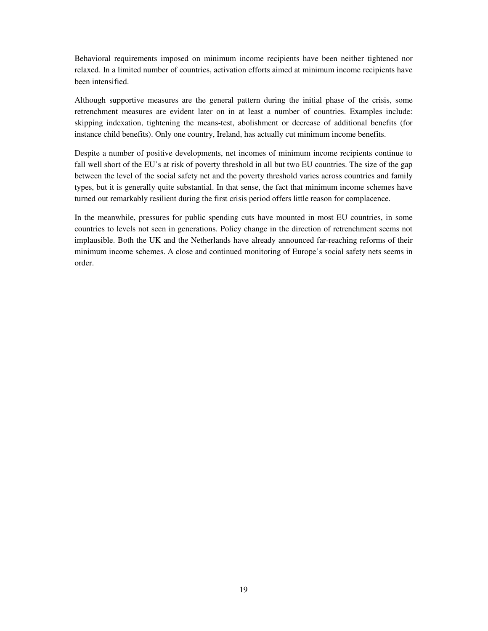Behavioral requirements imposed on minimum income recipients have been neither tightened nor relaxed. In a limited number of countries, activation efforts aimed at minimum income recipients have been intensified.

Although supportive measures are the general pattern during the initial phase of the crisis, some retrenchment measures are evident later on in at least a number of countries. Examples include: skipping indexation, tightening the means-test, abolishment or decrease of additional benefits (for instance child benefits). Only one country, Ireland, has actually cut minimum income benefits.

Despite a number of positive developments, net incomes of minimum income recipients continue to fall well short of the EU's at risk of poverty threshold in all but two EU countries. The size of the gap between the level of the social safety net and the poverty threshold varies across countries and family types, but it is generally quite substantial. In that sense, the fact that minimum income schemes have turned out remarkably resilient during the first crisis period offers little reason for complacence.

In the meanwhile, pressures for public spending cuts have mounted in most EU countries, in some countries to levels not seen in generations. Policy change in the direction of retrenchment seems not implausible. Both the UK and the Netherlands have already announced far-reaching reforms of their minimum income schemes. A close and continued monitoring of Europe's social safety nets seems in order.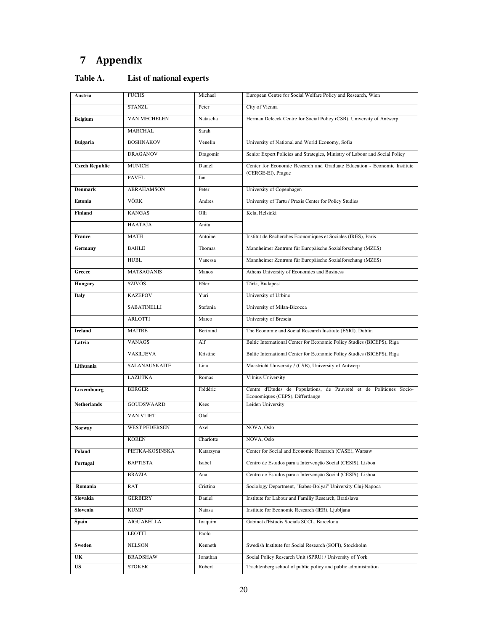# 7 Appendix

| Table A. | List of national experts |
|----------|--------------------------|
|----------|--------------------------|

| Austria               | <b>FUCHS</b>         | Michael   | European Centre for Social Welfare Policy and Research, Wien                                           |
|-----------------------|----------------------|-----------|--------------------------------------------------------------------------------------------------------|
|                       | <b>STANZL</b>        | Peter     | City of Vienna                                                                                         |
| <b>Belgium</b>        | <b>VAN MECHELEN</b>  | Natascha  | Herman Deleeck Centre for Social Policy (CSB), University of Antwerp                                   |
|                       | <b>MARCHAL</b>       | Sarah     |                                                                                                        |
| <b>Bulgaria</b>       | <b>BOSHNAKOV</b>     | Venelin   | University of National and World Economy, Sofia                                                        |
|                       | <b>DRAGANOV</b>      | Dragomir  | Senior Expert Policies and Strategies, Ministry of Labour and Social Policy                            |
| <b>Czech Republic</b> | <b>MUNICH</b>        | Daniel    | Center for Economic Research and Graduate Education - Economic Institute                               |
|                       | <b>PAVEL</b>         | Jan       | (CERGE-EI), Prague                                                                                     |
| <b>Denmark</b>        | <b>ABRAHAMSON</b>    | Peter     | University of Copenhagen                                                                               |
| Estonia               | VÕRK                 | Andres    | University of Tartu / Praxis Center for Policy Studies                                                 |
| Finland               | <b>KANGAS</b>        | Olli      | Kela, Helsinki                                                                                         |
|                       | HAATAJA              | Anita     |                                                                                                        |
| France                | <b>MATH</b>          | Antoine   | Institut de Recherches Economiques et Sociales (IRES), Paris                                           |
| Germany               | <b>BAHLE</b>         | Thomas    | Mannheimer Zentrum für Europäische Sozialforschung (MZES)                                              |
|                       | <b>HUBL</b>          | Vanessa   | Mannheimer Zentrum für Europäische Sozialforschung (MZES)                                              |
| Greece                | <b>MATSAGANIS</b>    | Manos     | Athens University of Economics and Business                                                            |
| Hungary               | <b>SZIVÓS</b>        | Péter     | Tárki, Budapest                                                                                        |
| Italy                 | <b>KAZEPOV</b>       | Yuri      | University of Urbino                                                                                   |
|                       | <b>SABATINELLI</b>   | Stefania  | University of Milan-Bicocca                                                                            |
|                       | <b>ARLOTTI</b>       | Marco     | University of Brescia                                                                                  |
| Ireland               | <b>MAITRE</b>        | Bertrand  | The Economic and Social Research Institute (ESRI), Dublin                                              |
| Latvia                | <b>VANAGS</b>        | Alf       | Baltic International Center for Economic Policy Studies (BICEPS), Riga                                 |
|                       | <b>VASILJEVA</b>     | Kristine  | Baltic International Center for Economic Policy Studies (BICEPS), Riga                                 |
| Lithuania             | SALANAUSKAITE        | Lina      | Maastricht University / (CSB), University of Antwerp                                                   |
|                       | <b>LAZUTKA</b>       | Romas     | Vilnius University                                                                                     |
| Luxembourg            | <b>BERGER</b>        | Frédéric  | Centre d'Etudes de Populations, de Pauvreté et de Politiques Socio-<br>Economiques (CEPS), Differdange |
| <b>Netherlands</b>    | <b>GOUDSWAARD</b>    | Kees      | Leiden University                                                                                      |
|                       | <b>VAN VLIET</b>     | Olaf      |                                                                                                        |
| Norway                | <b>WEST PEDERSEN</b> | Axel      | NOVA, Oslo                                                                                             |
|                       | <b>KOREN</b>         | Charlotte | NOVA, Oslo                                                                                             |
| Poland                | PIETKA-KOSINSKA      | Katarzyna | Center for Social and Economic Research (CASE), Warsaw                                                 |
| Portugal              | <b>BAPTISTA</b>      | Isabel    | Centro de Estudos para a Intervenção Social (CESIS), Lisboa                                            |
|                       | BRÁZIA               | Ana       | Centro de Estudos para a Intervenção Social (CESIS), Lisboa                                            |
| Romania               | RAT                  | Cristina  | Sociology Department, "Babes-Bolyai" University Cluj-Napoca                                            |
| Slovakia              | <b>GERBERY</b>       | Daniel    | Institute for Labour and Familiy Research, Bratislava                                                  |
| Slovenia              | <b>KUMP</b>          | Natasa    | Institute for Economic Research (IER), Ljubljana                                                       |
| Spain                 | <b>AIGUABELLA</b>    | Joaquim   | Gabinet d'Estudis Socials SCCL, Barcelona                                                              |
|                       | <b>LEOTTI</b>        | Paolo     |                                                                                                        |
| Sweden                | NELSON               | Kenneth   | Swedish Institute for Social Research (SOFI), Stockholm                                                |
| UK                    | <b>BRADSHAW</b>      | Jonathan  | Social Policy Research Unit (SPRU) / University of York                                                |
| US                    | <b>STOKER</b>        | Robert    | Trachtenberg school of public policy and public administration                                         |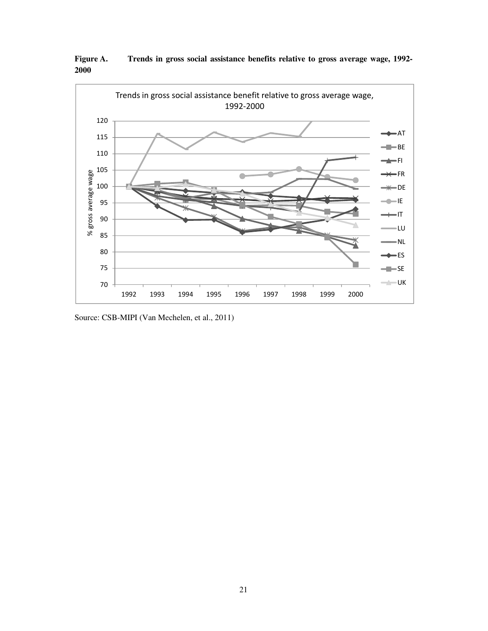

**Figure A. Trends in gross social assistance benefits relative to gross average wage, 1992- 2000** 

Source: CSB-MIPI (Van Mechelen, et al., 2011)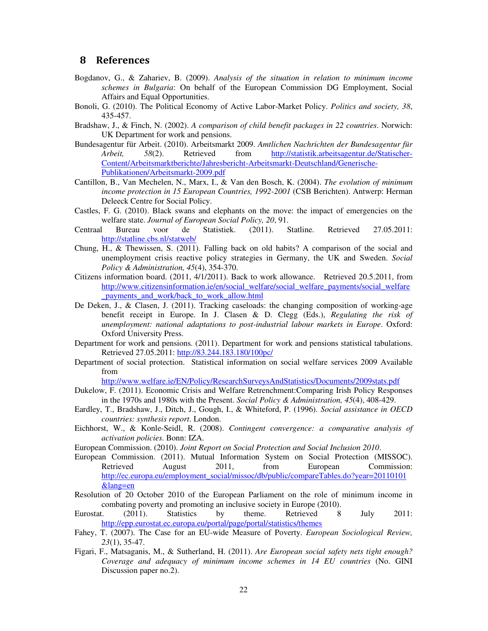#### 8 References

- Bogdanov, G., & Zahariev, B. (2009). *Analysis of the situation in relation to minimum income schemes in Bulgaria*: On behalf of the European Commission DG Employment, Social Affairs and Equal Opportunities.
- Bonoli, G. (2010). The Political Economy of Active Labor-Market Policy. *Politics and society, 38*, 435-457.
- Bradshaw, J., & Finch, N. (2002). *A comparison of child benefit packages in 22 countries*. Norwich: UK Department for work and pensions.
- Bundesagentur für Arbeit. (2010). Arbeitsmarkt 2009. *Amtlichen Nachrichten der Bundesagentur für Arbeit, 58*(2). Retrieved from http://statistik.arbeitsagentur.de/Statischer-Content/Arbeitsmarktberichte/Jahresbericht-Arbeitsmarkt-Deutschland/Generische-Publikationen/Arbeitsmarkt-2009.pdf
- Cantillon, B., Van Mechelen, N., Marx, I., & Van den Bosch, K. (2004). *The evolution of minimum income protection in 15 European Countries, 1992-2001* (CSB Berichten). Antwerp: Herman Deleeck Centre for Social Policy.
- Castles, F. G. (2010). Black swans and elephants on the move: the impact of emergencies on the welfare state. *Journal of European Social Policy, 20*, 91.
- Centraal Bureau voor de Statistiek. (2011). Statline. Retrieved 27.05.2011: http://statline.cbs.nl/statweb/
- Chung, H., & Thewissen, S. (2011). Falling back on old habits? A comparison of the social and unemployment crisis reactive policy strategies in Germany, the UK and Sweden. *Social Policy & Administration, 45*(4), 354-370.
- Citizens information board. (2011, 4/1/2011). Back to work allowance. Retrieved 20.5.2011, from http://www.citizensinformation.ie/en/social\_welfare/social\_welfare\_payments/social\_welfare \_payments\_and\_work/back\_to\_work\_allow.html
- De Deken, J., & Clasen, J. (2011). Tracking caseloads: the changing composition of working-age benefit receipt in Europe. In J. Clasen & D. Clegg (Eds.), *Regulating the risk of unemployment: national adaptations to post-industrial labour markets in Europe*. Oxford: Oxford University Press.
- Department for work and pensions. (2011). Department for work and pensions statistical tabulations. Retrieved 27.05.2011: http://83.244.183.180/100pc/
- Department of social protection. Statistical information on social welfare services 2009 Available from

http://www.welfare.ie/EN/Policy/ResearchSurveysAndStatistics/Documents/2009stats.pdf

- Dukelow, F. (2011). Economic Crisis and Welfare Retrenchment:Comparing Irish Policy Responses in the 1970s and 1980s with the Present. *Social Policy & Administration, 45*(4), 408-429.
- Eardley, T., Bradshaw, J., Ditch, J., Gough, I., & Whiteford, P. (1996). *Social assistance in OECD countries: synthesis report*. London.
- Eichhorst, W., & Konle-Seidl, R. (2008). *Contingent convergence: a comparative analysis of activation policies*. Bonn: IZA.
- European Commission. (2010). *Joint Report on Social Protection and Social Inclusion 2010*.
- European Commission. (2011). Mutual Information System on Social Protection (MISSOC). Retrieved August 2011, from European Commission: http://ec.europa.eu/employment\_social/missoc/db/public/compareTables.do?year=20110101 &lang=en
- Resolution of 20 October 2010 of the European Parliament on the role of minimum income in combating poverty and promoting an inclusive society in Europe (2010).<br>t. (2011). Statistics by theme. Retrieved 8
- Eurostat. (2011). Statistics by theme. Retrieved 8 July 2011: http://epp.eurostat.ec.europa.eu/portal/page/portal/statistics/themes
- Fahey, T. (2007). The Case for an EU-wide Measure of Poverty. *European Sociological Review, 23*(1), 35-47.
- Figari, F., Matsaganis, M., & Sutherland, H. (2011). *Are European social safety nets tight enough? Coverage and adequacy of minimum income schemes in 14 EU countries* (No. GINI Discussion paper no.2).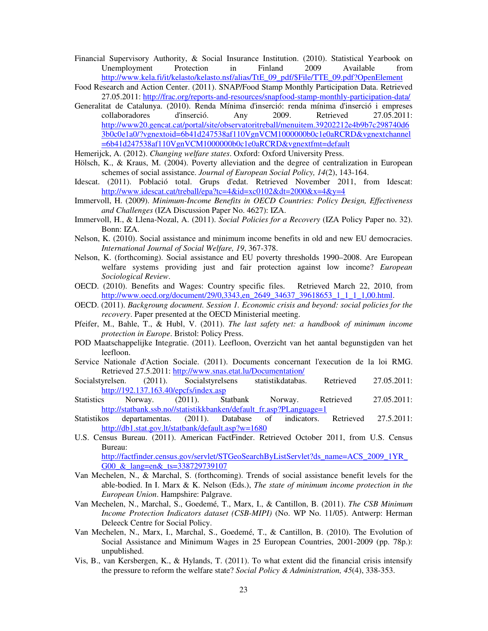- Financial Supervisory Authority, & Social Insurance Institution. (2010). Statistical Yearbook on Unemployment Protection in Finland 2009 Available from http://www.kela.fi/it/kelasto/kelasto.nsf/alias/TtE\_09\_pdf/\$File/TTE\_09.pdf?OpenElement
- Food Research and Action Center. (2011). SNAP/Food Stamp Monthly Participation Data. Retrieved 27.05.2011: http://frac.org/reports-and-resources/snapfood-stamp-monthly-participation-data/
- Generalitat de Catalunya. (2010). Renda Mínima d'inserció: renda mínima d'inserció i empreses collaboradores d'inserció. Any 2009. Retrieved 27.05.2011: http://www20.gencat.cat/portal/site/observatoritreball/menuitem.39202212e4b9b7c298740d6 3b0c0e1a0/?vgnextoid=6b41d247538af110VgnVCM1000000b0c1e0aRCRD&vgnextchannel =6b41d247538af110VgnVCM1000000b0c1e0aRCRD&vgnextfmt=default

Hemerijck, A. (2012). *Changing welfare states*. Oxford: Oxford University Press.

- Hölsch, K., & Kraus, M. (2004). Poverty alleviation and the degree of centralization in European schemes of social assistance. *Journal of European Social Policy, 14*(2), 143-164.
- Idescat. (2011). Població total. Grups d'edat. Retrieved November 2011, from Idescat: http://www.idescat.cat/treball/epa?tc=4&id=xc0102&dt=2000&x=4&y=4
- Immervoll, H. (2009). *Minimum-Income Benefits in OECD Countries: Policy Design, Effectiveness and Challenges* (IZA Discussion Paper No. 4627): IZA.
- Immervoll, H., & Llena-Nozal, A. (2011). *Social Policies for a Recovery* (IZA Policy Paper no. 32). Bonn: IZA.
- Nelson, K. (2010). Social assistance and minimum income benefits in old and new EU democracies. *International Journal of Social Welfare, 19*, 367-378.
- Nelson, K. (forthcoming). Social assistance and EU poverty thresholds 1990–2008. Are European welfare systems providing just and fair protection against low income? *European Sociological Review*.
- OECD. (2010). Benefits and Wages: Country specific files. Retrieved March 22, 2010, from http://www.oecd.org/document/29/0,3343,en\_2649\_34637\_39618653\_1\_1\_1\_1,00.html.
- OECD. (2011). *Backgroung document. Session 1. Economic crisis and beyond: social policies for the recovery*. Paper presented at the OECD Ministerial meeting.
- Pfeifer, M., Bahle, T., & Hubl, V. (2011). *The last safety net: a handbook of minimum income protection in Europe*. Bristol: Policy Press.
- POD Maatschappelijke Integratie. (2011). Leefloon, Overzicht van het aantal begunstigden van het leefloon.
- Service Nationale d'Action Sociale. (2011). Documents concernant l'execution de la loi RMG. Retrieved 27.5.2011: http://www.snas.etat.lu/Documentation/
- Socialstyrelsen. (2011). Socialstyrelsens statistikdatabas. Retrieved 27.05.2011: http://192.137.163.40/epcfs/index.asp
- Statistics Norway. (2011). Statbank Norway. Retrieved 27.05.2011: http://statbank.ssb.no//statistikkbanken/default\_fr.asp?PLanguage=1
- Statistikos departamentas. (2011). Database of indicators. Retrieved 27.5.2011: http://db1.stat.gov.lt/statbank/default.asp?w=1680
- U.S. Census Bureau. (2011). American FactFinder. Retrieved October 2011, from U.S. Census Bureau: http://factfinder.census.gov/servlet/STGeoSearchByListServlet?ds\_name=ACS\_2009\_1YR\_ G00 & lang=en& ts=338729739107
- Van Mechelen, N., & Marchal, S. (forthcoming). Trends of social assistance benefit levels for the able-bodied. In I. Marx & K. Nelson (Eds.), *The state of minimum income protection in the European Union*. Hampshire: Palgrave.
- Van Mechelen, N., Marchal, S., Goedemé, T., Marx, I., & Cantillon, B. (2011). *The CSB Minimum Income Protection Indicators dataset (CSB-MIPI)* (No. WP No. 11/05). Antwerp: Herman Deleeck Centre for Social Policy.
- Van Mechelen, N., Marx, I., Marchal, S., Goedemé, T., & Cantillon, B. (2010). The Evolution of Social Assistance and Minimum Wages in 25 European Countries, 2001-2009 (pp. 78p.): unpublished.
- Vis, B., van Kersbergen, K., & Hylands, T. (2011). To what extent did the financial crisis intensify the pressure to reform the welfare state? *Social Policy & Administration, 45*(4), 338-353.